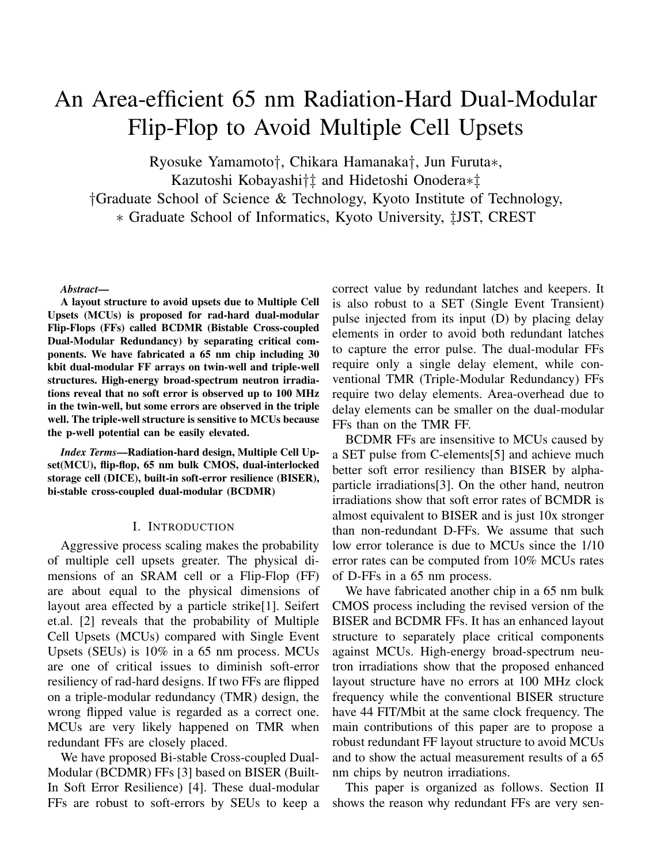# An Area-efficient 65 nm Radiation-Hard Dual-Modular Flip-Flop to Avoid Multiple Cell Upsets

Ryosuke Yamamoto*†*, Chikara Hamanaka*†*, Jun Furuta*∗*,

Kazutoshi Kobayashi*†‡* and Hidetoshi Onodera*∗‡*

*†*Graduate School of Science & Technology, Kyoto Institute of Technology,

*∗* Graduate School of Informatics, Kyoto University, *‡*JST, CREST

#### *Abstract*—

A layout structure to avoid upsets due to Multiple Cell Upsets (MCUs) is proposed for rad-hard dual-modular Flip-Flops (FFs) called BCDMR (Bistable Cross-coupled Dual-Modular Redundancy) by separating critical components. We have fabricated a 65 nm chip including 30 kbit dual-modular FF arrays on twin-well and triple-well structures. High-energy broad-spectrum neutron irradiations reveal that no soft error is observed up to 100 MHz in the twin-well, but some errors are observed in the triple well. The triple-well structure is sensitive to MCUs because the p-well potential can be easily elevated.

*Index Terms*—Radiation-hard design, Multiple Cell Upset(MCU), flip-flop, 65 nm bulk CMOS, dual-interlocked storage cell (DICE), built-in soft-error resilience (BISER), bi-stable cross-coupled dual-modular (BCDMR)

### I. INTRODUCTION

Aggressive process scaling makes the probability of multiple cell upsets greater. The physical dimensions of an SRAM cell or a Flip-Flop (FF) are about equal to the physical dimensions of layout area effected by a particle strike[1]. Seifert et.al. [2] reveals that the probability of Multiple Cell Upsets (MCUs) compared with Single Event Upsets (SEUs) is 10% in a 65 nm process. MCUs are one of critical issues to diminish soft-error resiliency of rad-hard designs. If two FFs are flipped on a triple-modular redundancy (TMR) design, the wrong flipped value is regarded as a correct one. MCUs are very likely happened on TMR when redundant FFs are closely placed.

We have proposed Bi-stable Cross-coupled Dual-Modular (BCDMR) FFs [3] based on BISER (Built-In Soft Error Resilience) [4]. These dual-modular FFs are robust to soft-errors by SEUs to keep a correct value by redundant latches and keepers. It is also robust to a SET (Single Event Transient) pulse injected from its input (D) by placing delay elements in order to avoid both redundant latches to capture the error pulse. The dual-modular FFs require only a single delay element, while conventional TMR (Triple-Modular Redundancy) FFs require two delay elements. Area-overhead due to delay elements can be smaller on the dual-modular FFs than on the TMR FF.

BCDMR FFs are insensitive to MCUs caused by a SET pulse from C-elements[5] and achieve much better soft error resiliency than BISER by alphaparticle irradiations[3]. On the other hand, neutron irradiations show that soft error rates of BCMDR is almost equivalent to BISER and is just 10x stronger than non-redundant D-FFs. We assume that such low error tolerance is due to MCUs since the 1/10 error rates can be computed from 10% MCUs rates of D-FFs in a 65 nm process.

We have fabricated another chip in a 65 nm bulk CMOS process including the revised version of the BISER and BCDMR FFs. It has an enhanced layout structure to separately place critical components against MCUs. High-energy broad-spectrum neutron irradiations show that the proposed enhanced layout structure have no errors at 100 MHz clock frequency while the conventional BISER structure have 44 FIT/Mbit at the same clock frequency. The main contributions of this paper are to propose a robust redundant FF layout structure to avoid MCUs and to show the actual measurement results of a 65 nm chips by neutron irradiations.

This paper is organized as follows. Section II shows the reason why redundant FFs are very sen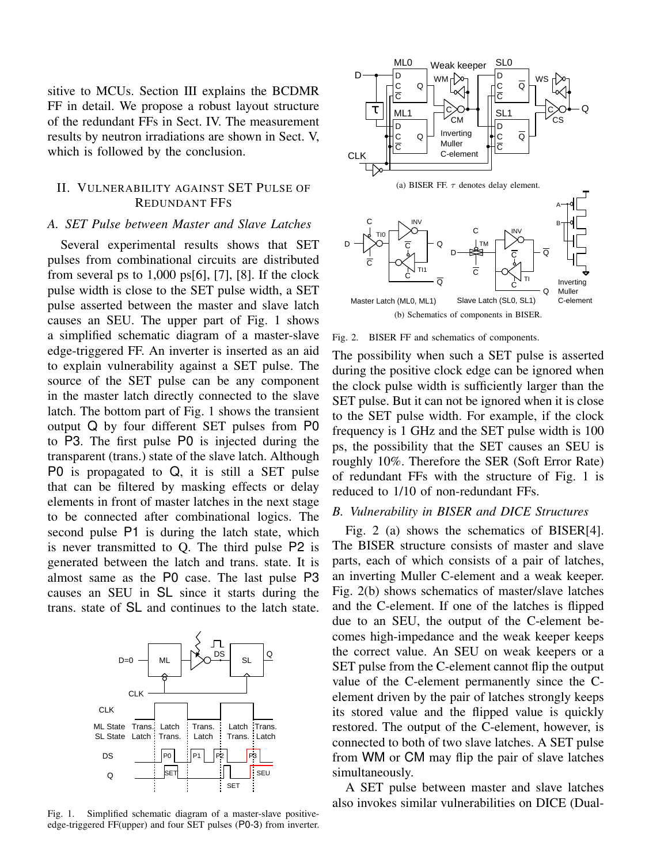sitive to MCUs. Section III explains the BCDMR FF in detail. We propose a robust layout structure of the redundant FFs in Sect. IV. The measurement results by neutron irradiations are shown in Sect. V, which is followed by the conclusion.

# II. VULNERABILITY AGAINST SET PULSE OF REDUNDANT FFS

## *A. SET Pulse between Master and Slave Latches*

Several experimental results shows that SET pulses from combinational circuits are distributed from several ps to  $1,000$  ps[6], [7], [8]. If the clock pulse width is close to the SET pulse width, a SET pulse asserted between the master and slave latch causes an SEU. The upper part of Fig. 1 shows a simplified schematic diagram of a master-slave edge-triggered FF. An inverter is inserted as an aid to explain vulnerability against a SET pulse. The source of the SET pulse can be any component in the master latch directly connected to the slave latch. The bottom part of Fig. 1 shows the transient output Q by four different SET pulses from P0 to P3. The first pulse P0 is injected during the transparent (trans.) state of the slave latch. Although P0 is propagated to Q, it is still a SET pulse that can be filtered by masking effects or delay elements in front of master latches in the next stage to be connected after combinational logics. The second pulse P1 is during the latch state, which is never transmitted to Q. The third pulse P2 is generated between the latch and trans. state. It is almost same as the P0 case. The last pulse P3 causes an SEU in SL since it starts during the trans. state of SL and continues to the latch state.



Fig. 1. Simplified schematic diagram of a master-slave positiveedge-triggered FF(upper) and four SET pulses (P0-3) from inverter.



Fig. 2. BISER FF and schematics of components.

The possibility when such a SET pulse is asserted during the positive clock edge can be ignored when the clock pulse width is sufficiently larger than the SET pulse. But it can not be ignored when it is close to the SET pulse width. For example, if the clock frequency is 1 GHz and the SET pulse width is 100 ps, the possibility that the SET causes an SEU is roughly 10%. Therefore the SER (Soft Error Rate) of redundant FFs with the structure of Fig. 1 is reduced to 1/10 of non-redundant FFs.

## *B. Vulnerability in BISER and DICE Structures*

Fig. 2 (a) shows the schematics of BISER[4]. The BISER structure consists of master and slave parts, each of which consists of a pair of latches, an inverting Muller C-element and a weak keeper. Fig. 2(b) shows schematics of master/slave latches and the C-element. If one of the latches is flipped due to an SEU, the output of the C-element becomes high-impedance and the weak keeper keeps the correct value. An SEU on weak keepers or a SET pulse from the C-element cannot flip the output value of the C-element permanently since the Celement driven by the pair of latches strongly keeps its stored value and the flipped value is quickly restored. The output of the C-element, however, is connected to both of two slave latches. A SET pulse from WM or CM may flip the pair of slave latches simultaneously.

A SET pulse between master and slave latches also invokes similar vulnerabilities on DICE (Dual-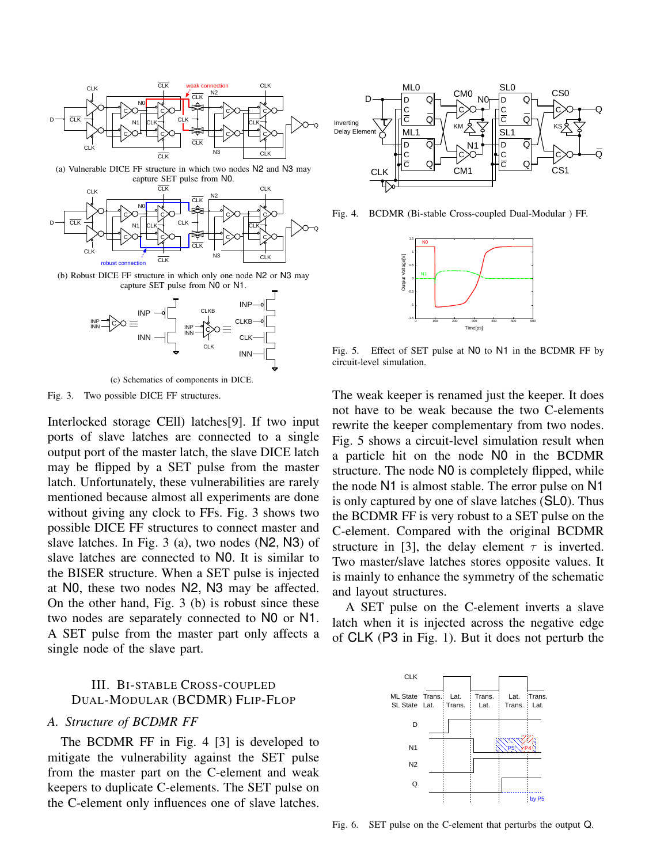



(c) Schematics of components in DICE.

Fig. 3. Two possible DICE FF structures.

Interlocked storage CEll) latches[9]. If two input ports of slave latches are connected to a single output port of the master latch, the slave DICE latch may be flipped by a SET pulse from the master latch. Unfortunately, these vulnerabilities are rarely mentioned because almost all experiments are done without giving any clock to FFs. Fig. 3 shows two possible DICE FF structures to connect master and slave latches. In Fig. 3 (a), two nodes (N2, N3) of slave latches are connected to N0. It is similar to the BISER structure. When a SET pulse is injected at N0, these two nodes N2, N3 may be affected. On the other hand, Fig. 3 (b) is robust since these two nodes are separately connected to N0 or N1. A SET pulse from the master part only affects a single node of the slave part.

## III. BI-STABLE CROSS-COUPLED DUAL-MODULAR (BCDMR) FLIP-FLOP

# *A. Structure of BCDMR FF*

The BCDMR FF in Fig. 4 [3] is developed to mitigate the vulnerability against the SET pulse from the master part on the C-element and weak keepers to duplicate C-elements. The SET pulse on the C-element only influences one of slave latches.



Fig. 4. BCDMR (Bi-stable Cross-coupled Dual-Modular ) FF.



Fig. 5. Effect of SET pulse at N0 to N1 in the BCDMR FF by circuit-level simulation.

The weak keeper is renamed just the keeper. It does not have to be weak because the two C-elements rewrite the keeper complementary from two nodes. Fig. 5 shows a circuit-level simulation result when a particle hit on the node N0 in the BCDMR structure. The node N0 is completely flipped, while the node N1 is almost stable. The error pulse on N1 is only captured by one of slave latches (SL0). Thus the BCDMR FF is very robust to a SET pulse on the C-element. Compared with the original BCDMR structure in [3], the delay element  $\tau$  is inverted. Two master/slave latches stores opposite values. It is mainly to enhance the symmetry of the schematic and layout structures.

A SET pulse on the C-element inverts a slave latch when it is injected across the negative edge of CLK (P3 in Fig. 1). But it does not perturb the



Fig. 6. SET pulse on the C-element that perturbs the output Q.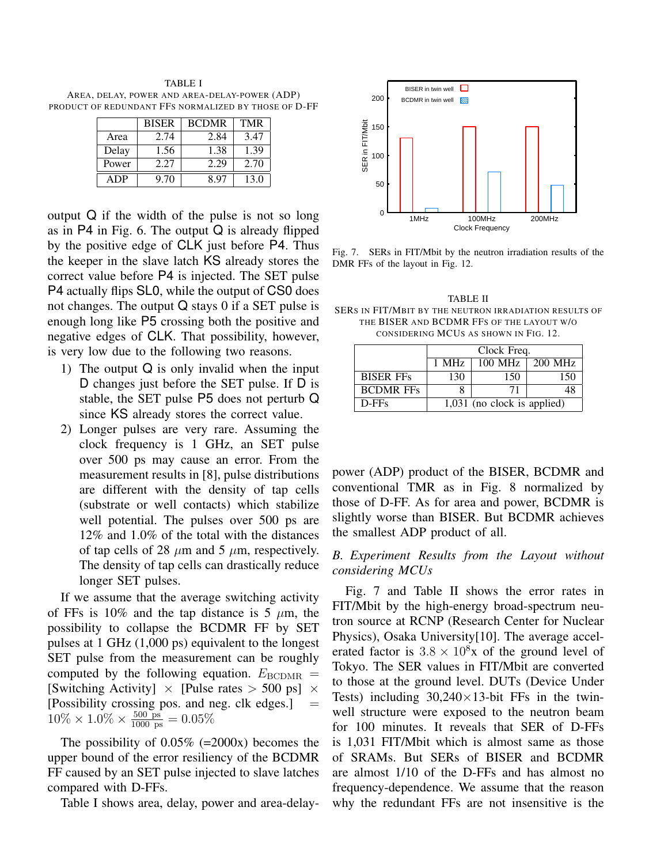TABLE I AREA, DELAY, POWER AND AREA-DELAY-POWER (ADP) PRODUCT OF REDUNDANT FFS NORMALIZED BY THOSE OF D-FF

|       | <b>BISER</b> | <b>BCDMR</b> | <b>TMR</b> |
|-------|--------------|--------------|------------|
| Area  | 2.74         | 2.84         | 3.47       |
| Delay | 1.56         | 1.38         | 1.39       |
| Power | 2.27         | 2.29         | 2.70       |
| ADP   | 9.70         | 8.97         | 13.0       |

output Q if the width of the pulse is not so long as in  $P4$  in Fig. 6. The output  $Q$  is already flipped by the positive edge of CLK just before P4. Thus the keeper in the slave latch KS already stores the correct value before P4 is injected. The SET pulse P4 actually flips SL0, while the output of CS0 does not changes. The output Q stays 0 if a SET pulse is enough long like P5 crossing both the positive and negative edges of CLK. That possibility, however, is very low due to the following two reasons.

- 1) The output Q is only invalid when the input D changes just before the SET pulse. If D is stable, the SET pulse P5 does not perturb Q since KS already stores the correct value.
- 2) Longer pulses are very rare. Assuming the clock frequency is 1 GHz, an SET pulse over 500 ps may cause an error. From the measurement results in [8], pulse distributions are different with the density of tap cells (substrate or well contacts) which stabilize well potential. The pulses over 500 ps are 12% and 1.0% of the total with the distances of tap cells of 28  $\mu$ m and 5  $\mu$ m, respectively. The density of tap cells can drastically reduce longer SET pulses.

If we assume that the average switching activity of FFs is 10% and the tap distance is 5  $\mu$ m, the possibility to collapse the BCDMR FF by SET pulses at 1 GHz (1,000 ps) equivalent to the longest SET pulse from the measurement can be roughly computed by the following equation.  $E_{\text{BCDMR}} =$ [Switching Activity] *×* [Pulse rates *>* 500 ps] *×* [Possibility crossing pos. and neg. clk edges.] =  $10\% \times 1.0\% \times \frac{500 \text{ ps}}{1000 \text{ ps}} = 0.05\%$ 

The possibility of  $0.05\%$  (=2000x) becomes the upper bound of the error resiliency of the BCDMR FF caused by an SET pulse injected to slave latches compared with D-FFs.

Table I shows area, delay, power and area-delay-



Fig. 7. SERs in FIT/Mbit by the neutron irradiation results of the DMR FFs of the layout in Fig. 12.

TABLE II SERS IN FIT/MBIT BY THE NEUTRON IRRADIATION RESULTS OF THE BISER AND BCDMR FFS OF THE LAYOUT W/O CONSIDERING MCUS AS SHOWN IN FIG. 12.

|                  | Clock Freq.                   |           |           |  |
|------------------|-------------------------------|-----------|-----------|--|
|                  | 1 MHz                         | $100$ MHz | $200$ MHz |  |
| <b>BISER FFs</b> | 130                           | 150       | 150       |  |
| <b>BCDMR FFs</b> |                               | 71        |           |  |
| $D$ -FFs         | $1,031$ (no clock is applied) |           |           |  |

power (ADP) product of the BISER, BCDMR and conventional TMR as in Fig. 8 normalized by those of D-FF. As for area and power, BCDMR is slightly worse than BISER. But BCDMR achieves the smallest ADP product of all.

## *B. Experiment Results from the Layout without considering MCUs*

Fig. 7 and Table II shows the error rates in FIT/Mbit by the high-energy broad-spectrum neutron source at RCNP (Research Center for Nuclear Physics), Osaka University[10]. The average accelerated factor is  $3.8 \times 10^8$ x of the ground level of Tokyo. The SER values in FIT/Mbit are converted to those at the ground level. DUTs (Device Under Tests) including 30,240*×*13-bit FFs in the twinwell structure were exposed to the neutron beam for 100 minutes. It reveals that SER of D-FFs is 1,031 FIT/Mbit which is almost same as those of SRAMs. But SERs of BISER and BCDMR are almost 1/10 of the D-FFs and has almost no frequency-dependence. We assume that the reason why the redundant FFs are not insensitive is the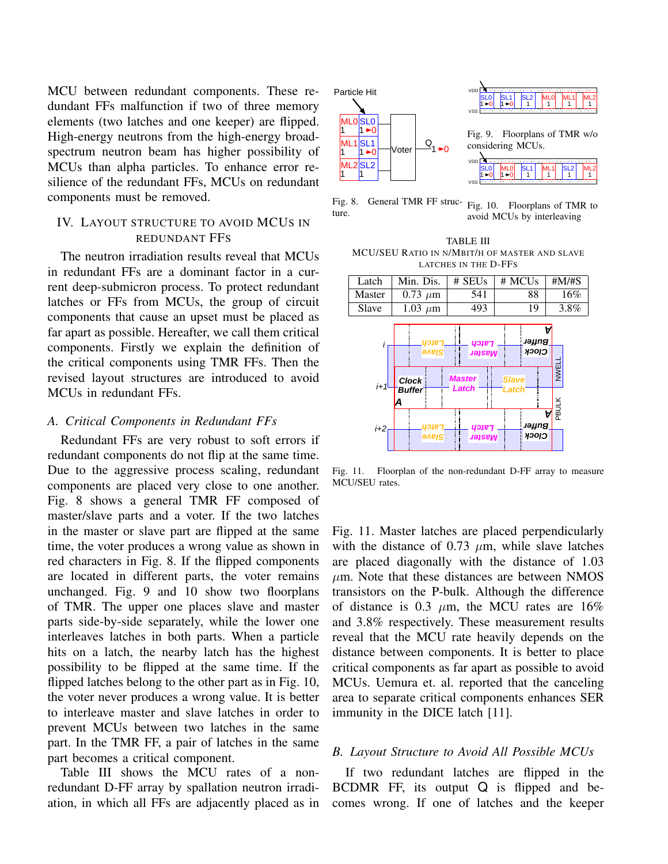MCU between redundant components. These redundant FFs malfunction if two of three memory elements (two latches and one keeper) are flipped. High-energy neutrons from the high-energy broadspectrum neutron beam has higher possibility of MCUs than alpha particles. To enhance error resilience of the redundant FFs, MCUs on redundant components must be removed.

# IV. LAYOUT STRUCTURE TO AVOID MCUS IN REDUNDANT FFS

The neutron irradiation results reveal that MCUs in redundant FFs are a dominant factor in a current deep-submicron process. To protect redundant latches or FFs from MCUs, the group of circuit components that cause an upset must be placed as far apart as possible. Hereafter, we call them critical components. Firstly we explain the definition of the critical components using TMR FFs. Then the revised layout structures are introduced to avoid MCUs in redundant FFs.

## *A. Critical Components in Redundant FFs*

Redundant FFs are very robust to soft errors if redundant components do not flip at the same time. Due to the aggressive process scaling, redundant components are placed very close to one another. Fig. 8 shows a general TMR FF composed of master/slave parts and a voter. If the two latches in the master or slave part are flipped at the same time, the voter produces a wrong value as shown in red characters in Fig. 8. If the flipped components are located in different parts, the voter remains unchanged. Fig. 9 and 10 show two floorplans of TMR. The upper one places slave and master parts side-by-side separately, while the lower one interleaves latches in both parts. When a particle hits on a latch, the nearby latch has the highest possibility to be flipped at the same time. If the flipped latches belong to the other part as in Fig. 10, the voter never produces a wrong value. It is better to interleave master and slave latches in order to prevent MCUs between two latches in the same part. In the TMR FF, a pair of latches in the same part becomes a critical component.

Table III shows the MCU rates of a nonredundant D-FF array by spallation neutron irradiation, in which all FFs are adjacently placed as in



Fig. 8. General TMR FF structure.

Fig. 10. Floorplans of TMR to avoid MCUs by interleaving

TABLE III MCU/SEU RATIO IN N/MBIT/H OF MASTER AND SLAVE LATCHES IN THE D-FFS



Fig. 11. Floorplan of the non-redundant D-FF array to measure MCU/SEU rates.

Fig. 11. Master latches are placed perpendicularly with the distance of  $0.73 \mu m$ , while slave latches are placed diagonally with the distance of 1.03  $\mu$ m. Note that these distances are between NMOS transistors on the P-bulk. Although the difference of distance is 0.3 *µ*m, the MCU rates are 16% and 3.8% respectively. These measurement results reveal that the MCU rate heavily depends on the distance between components. It is better to place critical components as far apart as possible to avoid MCUs. Uemura et. al. reported that the canceling area to separate critical components enhances SER immunity in the DICE latch [11].

#### *B. Layout Structure to Avoid All Possible MCUs*

If two redundant latches are flipped in the BCDMR FF, its output Q is flipped and becomes wrong. If one of latches and the keeper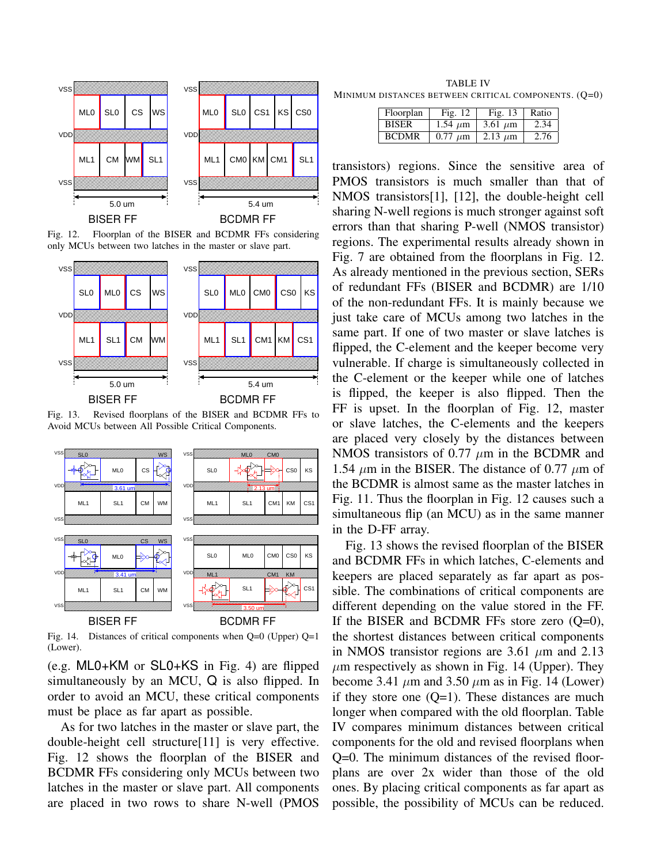

Fig. 12. Floorplan of the BISER and BCDMR FFs considering only MCUs between two latches in the master or slave part.



Fig. 13. Revised floorplans of the BISER and BCDMR FFs to Avoid MCUs between All Possible Critical Components.



Fig. 14. Distances of critical components when Q=0 (Upper) Q=1 (Lower).

(e.g. ML0+KM or SL0+KS in Fig. 4) are flipped simultaneously by an MCU, Q is also flipped. In order to avoid an MCU, these critical components must be place as far apart as possible.

As for two latches in the master or slave part, the double-height cell structure[11] is very effective. Fig. 12 shows the floorplan of the BISER and BCDMR FFs considering only MCUs between two latches in the master or slave part. All components are placed in two rows to share N-well (PMOS

TABLE IV MINIMUM DISTANCES BETWEEN CRITICAL COMPONENTS. (Q=0)

| Floorplan    | Fig. $12$    | Fig. $13$    | Ratio |
|--------------|--------------|--------------|-------|
| <b>BISER</b> | 1.54 $\mu$ m | $3.61 \mu m$ | 2.34  |
| <b>BCDMR</b> | $0.77 \mu m$ | 2.13 $\mu$ m | 2.76  |

transistors) regions. Since the sensitive area of PMOS transistors is much smaller than that of NMOS transistors[1], [12], the double-height cell sharing N-well regions is much stronger against soft errors than that sharing P-well (NMOS transistor) regions. The experimental results already shown in Fig. 7 are obtained from the floorplans in Fig. 12. As already mentioned in the previous section, SERs of redundant FFs (BISER and BCDMR) are 1/10 of the non-redundant FFs. It is mainly because we just take care of MCUs among two latches in the same part. If one of two master or slave latches is flipped, the C-element and the keeper become very vulnerable. If charge is simultaneously collected in the C-element or the keeper while one of latches is flipped, the keeper is also flipped. Then the FF is upset. In the floorplan of Fig. 12, master or slave latches, the C-elements and the keepers are placed very closely by the distances between NMOS transistors of 0.77 *µ*m in the BCDMR and 1.54  $\mu$ m in the BISER. The distance of 0.77  $\mu$ m of the BCDMR is almost same as the master latches in Fig. 11. Thus the floorplan in Fig. 12 causes such a simultaneous flip (an MCU) as in the same manner in the D-FF array.

Fig. 13 shows the revised floorplan of the BISER and BCDMR FFs in which latches, C-elements and keepers are placed separately as far apart as possible. The combinations of critical components are different depending on the value stored in the FF. If the BISER and BCDMR FFs store zero  $(O=0)$ , the shortest distances between critical components in NMOS transistor regions are 3.61 *µ*m and 2.13  $\mu$ m respectively as shown in Fig. 14 (Upper). They become 3.41  $\mu$ m and 3.50  $\mu$ m as in Fig. 14 (Lower) if they store one  $(Q=1)$ . These distances are much longer when compared with the old floorplan. Table IV compares minimum distances between critical components for the old and revised floorplans when Q=0. The minimum distances of the revised floorplans are over 2x wider than those of the old ones. By placing critical components as far apart as possible, the possibility of MCUs can be reduced.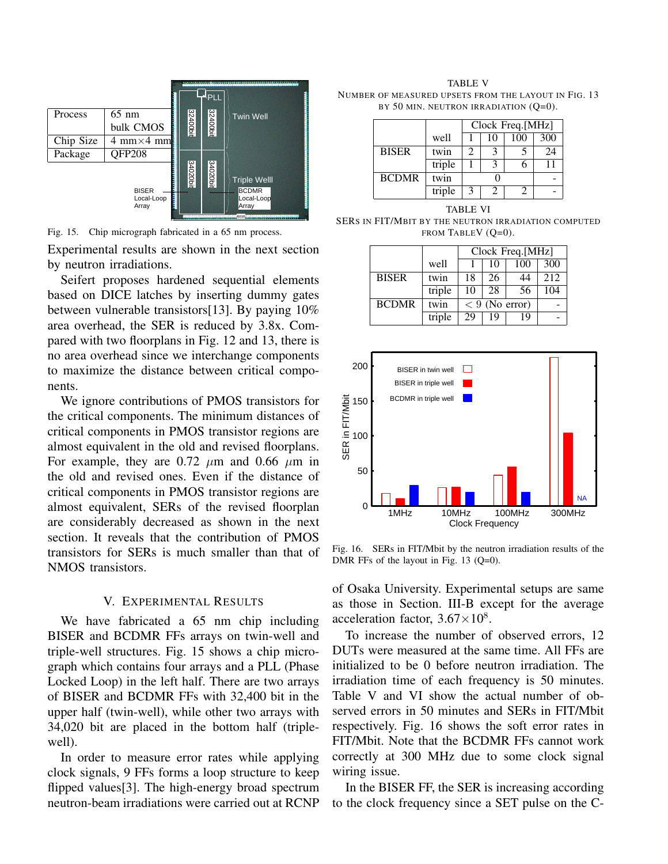

Fig. 15. Chip micrograph fabricated in a 65 nm process.

Experimental results are shown in the next section by neutron irradiations.

Seifert proposes hardened sequential elements based on DICE latches by inserting dummy gates between vulnerable transistors[13]. By paying 10% area overhead, the SER is reduced by 3.8x. Compared with two floorplans in Fig. 12 and 13, there is no area overhead since we interchange components to maximize the distance between critical components.

We ignore contributions of PMOS transistors for the critical components. The minimum distances of critical components in PMOS transistor regions are almost equivalent in the old and revised floorplans. For example, they are  $0.72 \mu m$  and  $0.66 \mu m$  in the old and revised ones. Even if the distance of critical components in PMOS transistor regions are almost equivalent, SERs of the revised floorplan are considerably decreased as shown in the next section. It reveals that the contribution of PMOS transistors for SERs is much smaller than that of NMOS transistors.

#### V. EXPERIMENTAL RESULTS

We have fabricated a 65 nm chip including BISER and BCDMR FFs arrays on twin-well and triple-well structures. Fig. 15 shows a chip micrograph which contains four arrays and a PLL (Phase Locked Loop) in the left half. There are two arrays of BISER and BCDMR FFs with 32,400 bit in the upper half (twin-well), while other two arrays with 34,020 bit are placed in the bottom half (triplewell).

In order to measure error rates while applying clock signals, 9 FFs forms a loop structure to keep flipped values<sup>[3]</sup>. The high-energy broad spectrum neutron-beam irradiations were carried out at RCNP

TABLE V NUMBER OF MEASURED UPSETS FROM THE LAYOUT IN FIG. 13 BY 50 MIN. NEUTRON IRRADIATION (Q=0).

|              |        | Clock Freq.[MHz] |    |     |     |
|--------------|--------|------------------|----|-----|-----|
|              | well   |                  | 10 | 100 | 300 |
| <b>BISER</b> | twin   | 2                |    |     | 24  |
|              | triple |                  |    | 6   |     |
| <b>BCDMR</b> | twin   |                  |    |     |     |
|              | triple | 3                | 2  | 2   |     |

TABLE VI SERS IN FIT/MBIT BY THE NEUTRON IRRADIATION COMPUTED FROM TABLEV (O=0).

|              |        | Clock Freq.[MHz] |    |     |      |
|--------------|--------|------------------|----|-----|------|
|              | well   |                  | 10 | 100 | 300  |
| <b>BISER</b> | twin   | 18               | 26 | 44  | 2.12 |
|              | triple | 10               | 28 | 56  | 104  |
| <b>BCDMR</b> | twin   | $< 9$ (No error) |    |     |      |
|              | triple | 29               | 19 | 19  |      |



Fig. 16. SERs in FIT/Mbit by the neutron irradiation results of the DMR FFs of the layout in Fig. 13 (Q=0).

of Osaka University. Experimental setups are same as those in Section. III-B except for the average acceleration factor, 3.67*×*10<sup>8</sup> .

To increase the number of observed errors, 12 DUTs were measured at the same time. All FFs are initialized to be 0 before neutron irradiation. The irradiation time of each frequency is 50 minutes. Table V and VI show the actual number of observed errors in 50 minutes and SERs in FIT/Mbit respectively. Fig. 16 shows the soft error rates in FIT/Mbit. Note that the BCDMR FFs cannot work correctly at 300 MHz due to some clock signal wiring issue.

In the BISER FF, the SER is increasing according to the clock frequency since a SET pulse on the C-